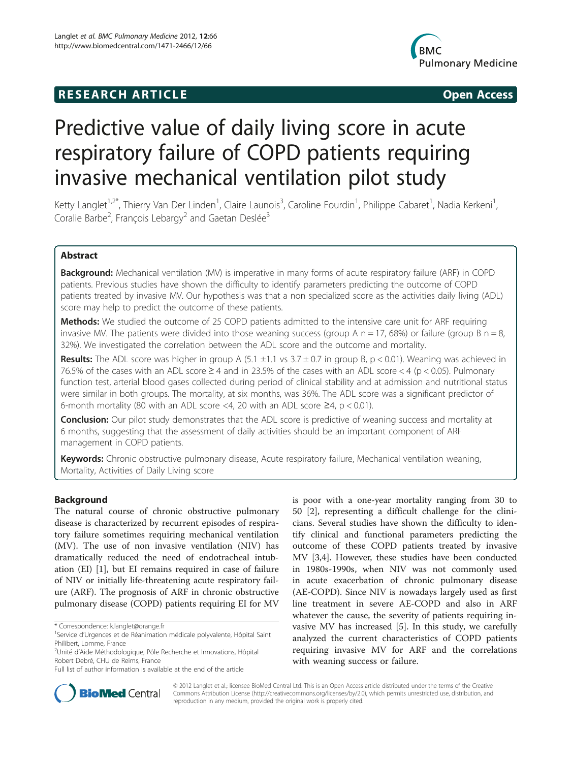# **RESEARCH ARTICLE Example 2014 12:30 The SEAR CHA RTICLE**



# Predictive value of daily living score in acute respiratory failure of COPD patients requiring invasive mechanical ventilation pilot study

Ketty Langlet<sup>1,2\*</sup>, Thierry Van Der Linden<sup>1</sup>, Claire Launois<sup>3</sup>, Caroline Fourdin<sup>1</sup>, Philippe Cabaret<sup>1</sup>, Nadia Kerkeni<sup>1</sup> , Coralie Barbe<sup>2</sup>, François Lebargy<sup>2</sup> and Gaetan Deslée<sup>3</sup>

# Abstract

Background: Mechanical ventilation (MV) is imperative in many forms of acute respiratory failure (ARF) in COPD patients. Previous studies have shown the difficulty to identify parameters predicting the outcome of COPD patients treated by invasive MV. Our hypothesis was that a non specialized score as the activities daily living (ADL) score may help to predict the outcome of these patients.

**Methods:** We studied the outcome of 25 COPD patients admitted to the intensive care unit for ARF requiring invasive MV. The patients were divided into those weaning success (group A  $n = 17$ , 68%) or failure (group B  $n = 8$ , 32%). We investigated the correlation between the ADL score and the outcome and mortality.

Results: The ADL score was higher in group A (5.1  $\pm$ 1.1 vs 3.7  $\pm$  0.7 in group B, p < 0.01). Weaning was achieved in 76.5% of the cases with an ADL score  $\geq$  4 and in 23.5% of the cases with an ADL score < 4 (p < 0.05). Pulmonary function test, arterial blood gases collected during period of clinical stability and at admission and nutritional status were similar in both groups. The mortality, at six months, was 36%. The ADL score was a significant predictor of 6-month mortality (80 with an ADL score <4, 20 with an ADL score  $\geq$ 4, p < 0.01).

**Conclusion:** Our pilot study demonstrates that the ADL score is predictive of weaning success and mortality at 6 months, suggesting that the assessment of daily activities should be an important component of ARF management in COPD patients.

Keywords: Chronic obstructive pulmonary disease, Acute respiratory failure, Mechanical ventilation weaning, Mortality, Activities of Daily Living score

# Background

The natural course of chronic obstructive pulmonary disease is characterized by recurrent episodes of respiratory failure sometimes requiring mechanical ventilation (MV). The use of non invasive ventilation (NIV) has dramatically reduced the need of endotracheal intubation (EI) [[1\]](#page-5-0), but EI remains required in case of failure of NIV or initially life-threatening acute respiratory failure (ARF). The prognosis of ARF in chronic obstructive pulmonary disease (COPD) patients requiring EI for MV

is poor with a one-year mortality ranging from 30 to 50 [[2\]](#page-5-0), representing a difficult challenge for the clinicians. Several studies have shown the difficulty to identify clinical and functional parameters predicting the outcome of these COPD patients treated by invasive MV [\[3,4\]](#page-5-0). However, these studies have been conducted in 1980s-1990s, when NIV was not commonly used in acute exacerbation of chronic pulmonary disease (AE-COPD). Since NIV is nowadays largely used as first line treatment in severe AE-COPD and also in ARF whatever the cause, the severity of patients requiring invasive MV has increased [\[5](#page-5-0)]. In this study, we carefully analyzed the current characteristics of COPD patients requiring invasive MV for ARF and the correlations with weaning success or failure.



© 2012 Langlet et al.; licensee BioMed Central Ltd. This is an Open Access article distributed under the terms of the Creative Commons Attribution License [\(http://creativecommons.org/licenses/by/2.0\)](http://creativecommons.org/licenses/by/2.0), which permits unrestricted use, distribution, and reproduction in any medium, provided the original work is properly cited.

<sup>\*</sup> Correspondence: [k.langlet@orange.fr](mailto:k.langlet@orange.fr) <sup>1</sup>

<sup>&</sup>lt;sup>1</sup>Service d'Urgences et de Réanimation médicale polyvalente, Hôpital Saint Philibert, Lomme, France

<sup>2</sup> Unité d'Aide Méthodologique, Pôle Recherche et Innovations, Hôpital Robert Debré, CHU de Reims, France

Full list of author information is available at the end of the article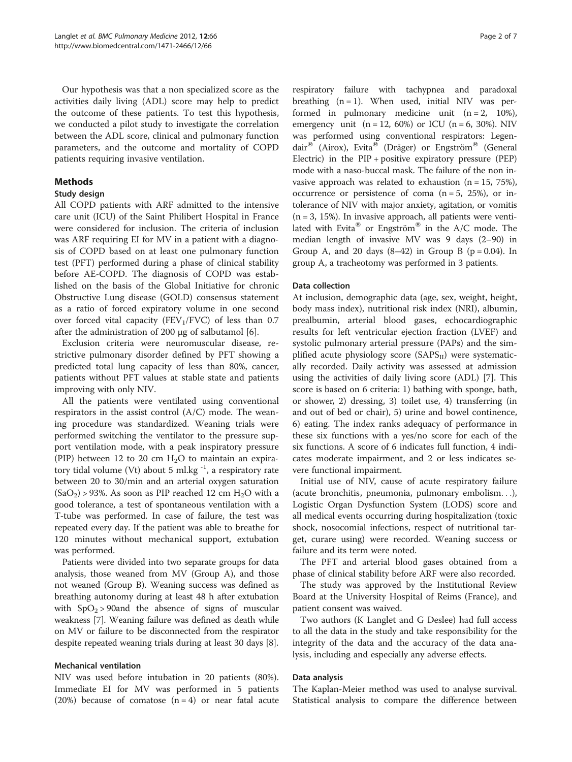Our hypothesis was that a non specialized score as the activities daily living (ADL) score may help to predict the outcome of these patients. To test this hypothesis, we conducted a pilot study to investigate the correlation between the ADL score, clinical and pulmonary function parameters, and the outcome and mortality of COPD patients requiring invasive ventilation.

# Methods

### Study design

All COPD patients with ARF admitted to the intensive care unit (ICU) of the Saint Philibert Hospital in France were considered for inclusion. The criteria of inclusion was ARF requiring EI for MV in a patient with a diagnosis of COPD based on at least one pulmonary function test (PFT) performed during a phase of clinical stability before AE-COPD. The diagnosis of COPD was established on the basis of the Global Initiative for chronic Obstructive Lung disease (GOLD) consensus statement as a ratio of forced expiratory volume in one second over forced vital capacity (FEV<sub>1</sub>/FVC) of less than 0.7 after the administration of 200 μg of salbutamol [[6\]](#page-5-0).

Exclusion criteria were neuromuscular disease, restrictive pulmonary disorder defined by PFT showing a predicted total lung capacity of less than 80%, cancer, patients without PFT values at stable state and patients improving with only NIV.

All the patients were ventilated using conventional respirators in the assist control (A/C) mode. The weaning procedure was standardized. Weaning trials were performed switching the ventilator to the pressure support ventilation mode, with a peak inspiratory pressure (PIP) between 12 to 20 cm  $H<sub>2</sub>O$  to maintain an expiratory tidal volume (Vt) about 5 ml.kg $^{-1}$ , a respiratory rate between 20 to 30/min and an arterial oxygen saturation  $(SaO<sub>2</sub>) > 93%$ . As soon as PIP reached 12 cm H<sub>2</sub>O with a good tolerance, a test of spontaneous ventilation with a T-tube was performed. In case of failure, the test was repeated every day. If the patient was able to breathe for 120 minutes without mechanical support, extubation was performed.

Patients were divided into two separate groups for data analysis, those weaned from MV (Group A), and those not weaned (Group B). Weaning success was defined as breathing autonomy during at least 48 h after extubation with  $SpO<sub>2</sub> > 90$  and the absence of signs of muscular weakness [\[7](#page-5-0)]. Weaning failure was defined as death while on MV or failure to be disconnected from the respirator despite repeated weaning trials during at least 30 days [\[8\]](#page-5-0).

#### Mechanical ventilation

NIV was used before intubation in 20 patients (80%). Immediate EI for MV was performed in 5 patients (20%) because of comatose  $(n = 4)$  or near fatal acute

respiratory failure with tachypnea and paradoxal breathing  $(n = 1)$ . When used, initial NIV was performed in pulmonary medicine unit  $(n = 2, 10\%),$ emergency unit (n = 12, 60%) or ICU (n = 6, 30%). NIV was performed using conventional respirators: Legendair® (Airox), Evita® (Dräger) or Engström® (General Electric) in the PIP + positive expiratory pressure (PEP) mode with a naso-buccal mask. The failure of the non invasive approach was related to exhaustion  $(n = 15, 75\%)$ , occurrence or persistence of coma  $(n = 5, 25\%)$ , or intolerance of NIV with major anxiety, agitation, or vomitis  $(n = 3, 15\%)$ . In invasive approach, all patients were ventilated with Evita® or Engström® in the A/C mode. The median length of invasive MV was 9 days (2–90) in Group A, and 20 days  $(8-42)$  in Group B  $(p = 0.04)$ . In group A, a tracheotomy was performed in 3 patients.

#### Data collection

At inclusion, demographic data (age, sex, weight, height, body mass index), nutritional risk index (NRI), albumin, prealbumin, arterial blood gases, echocardiographic results for left ventricular ejection fraction (LVEF) and systolic pulmonary arterial pressure (PAPs) and the simplified acute physiology score  $(SAPS_{II})$  were systematically recorded. Daily activity was assessed at admission using the activities of daily living score (ADL) [\[7](#page-5-0)]. This score is based on 6 criteria: 1) bathing with sponge, bath, or shower, 2) dressing, 3) toilet use, 4) transferring (in and out of bed or chair), 5) urine and bowel continence, 6) eating. The index ranks adequacy of performance in these six functions with a yes/no score for each of the six functions. A score of 6 indicates full function, 4 indicates moderate impairment, and 2 or less indicates severe functional impairment.

Initial use of NIV, cause of acute respiratory failure (acute bronchitis, pneumonia, pulmonary embolism...), Logistic Organ Dysfunction System (LODS) score and all medical events occurring during hospitalization (toxic shock, nosocomial infections, respect of nutritional target, curare using) were recorded. Weaning success or failure and its term were noted.

The PFT and arterial blood gases obtained from a phase of clinical stability before ARF were also recorded.

The study was approved by the Institutional Review Board at the University Hospital of Reims (France), and patient consent was waived.

Two authors (K Langlet and G Deslee) had full access to all the data in the study and take responsibility for the integrity of the data and the accuracy of the data analysis, including and especially any adverse effects.

#### Data analysis

The Kaplan-Meier method was used to analyse survival. Statistical analysis to compare the difference between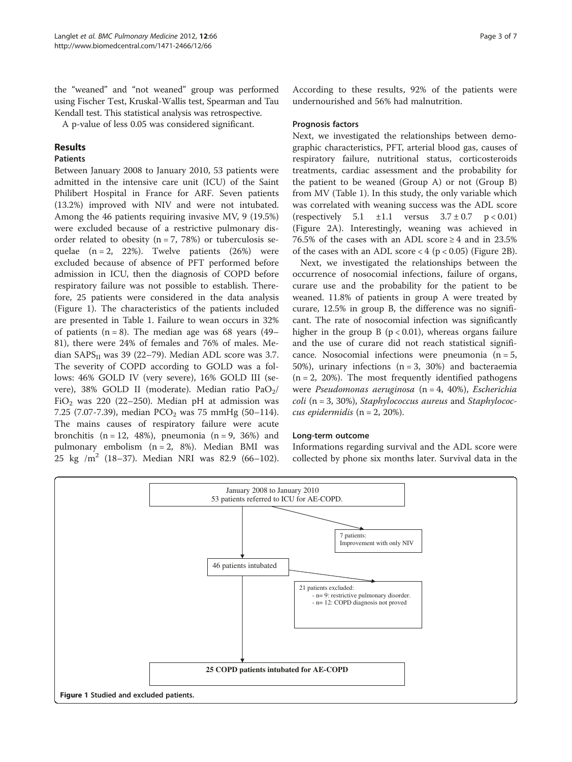the "weaned" and "not weaned" group was performed using Fischer Test, Kruskal-Wallis test, Spearman and Tau Kendall test. This statistical analysis was retrospective.

A p-value of less 0.05 was considered significant.

# Results

# Patients

Between January 2008 to January 2010, 53 patients were admitted in the intensive care unit (ICU) of the Saint Philibert Hospital in France for ARF. Seven patients (13.2%) improved with NIV and were not intubated. Among the 46 patients requiring invasive MV, 9 (19.5%) were excluded because of a restrictive pulmonary disorder related to obesity  $(n = 7, 78%)$  or tuberculosis sequelae  $(n = 2, 22\%)$ . Twelve patients  $(26\%)$  were excluded because of absence of PFT performed before admission in ICU, then the diagnosis of COPD before respiratory failure was not possible to establish. Therefore, 25 patients were considered in the data analysis (Figure 1). The characteristics of the patients included are presented in Table [1](#page-3-0). Failure to wean occurs in 32% of patients  $(n = 8)$ . The median age was 68 years (49– 81), there were 24% of females and 76% of males. Median  $SAPS<sub>II</sub>$  was 39 (22–79). Median ADL score was 3.7. The severity of COPD according to GOLD was a follows: 46% GOLD IV (very severe), 16% GOLD III (severe), 38% GOLD II (moderate). Median ratio PaO<sub>2</sub>/ FiO<sub>2</sub> was 220 (22–250). Median pH at admission was 7.25 (7.07-7.39), median  $PCO<sub>2</sub>$  was 75 mmHg (50–114). The mains causes of respiratory failure were acute bronchitis  $(n = 12, 48\%)$ , pneumonia  $(n = 9, 36\%)$  and pulmonary embolism (n = 2, 8%). Median BMI was 25 kg /m<sup>2</sup> (18–37). Median NRI was 82.9 (66–102). According to these results, 92% of the patients were undernourished and 56% had malnutrition.

## Prognosis factors

Next, we investigated the relationships between demographic characteristics, PFT, arterial blood gas, causes of respiratory failure, nutritional status, corticosteroids treatments, cardiac assessment and the probability for the patient to be weaned (Group A) or not (Group B) from MV (Table [1](#page-3-0)). In this study, the only variable which was correlated with weaning success was the ADL score  $(respectively 5.1 \pm 1.1 \text{ versus } 3.7 \pm 0.7 \text{ p} < 0.01)$ (Figure [2A\)](#page-4-0). Interestingly, weaning was achieved in 76.5% of the cases with an ADL score ≥ 4 and in 23.5% of the cases with an ADL score  $<$  4 (p  $<$  0.05) (Figure [2B](#page-4-0)).

Next, we investigated the relationships between the occurrence of nosocomial infections, failure of organs, curare use and the probability for the patient to be weaned. 11.8% of patients in group A were treated by curare, 12.5% in group B, the difference was no significant. The rate of nosocomial infection was significantly higher in the group B ( $p < 0.01$ ), whereas organs failure and the use of curare did not reach statistical significance. Nosocomial infections were pneumonia  $(n = 5)$ , 50%), urinary infections  $(n = 3, 30%)$  and bacteraemia  $(n = 2, 20\%)$ . The most frequently identified pathogens were Pseudomonas aeruginosa (n = 4, 40%), Escherichia  $\text{coli}$  (n = 3, 30%), Staphylococcus aureus and Staphylococcus epidermidis ( $n = 2$ , 20%).

#### Long-term outcome

Informations regarding survival and the ADL score were collected by phone six months later. Survival data in the

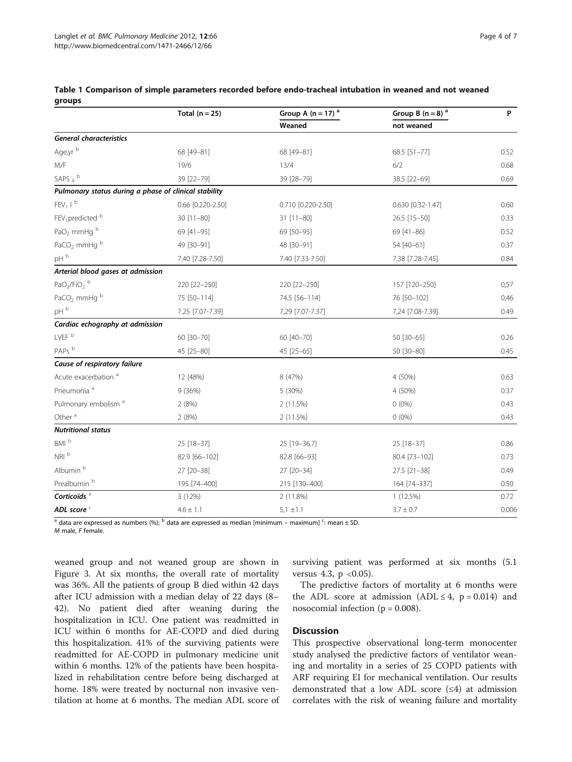|                                                       | Total ( $n = 25$ ) | Group A $(n = 17)$ <sup>a</sup> | Group B $(n = 8)$ <sup>a</sup> | P     |
|-------------------------------------------------------|--------------------|---------------------------------|--------------------------------|-------|
|                                                       |                    | Weaned                          | not weaned                     |       |
| <b>General characteristics</b>                        |                    |                                 |                                |       |
| Age,yr b                                              | 68 [49-81]         | 68 [49-81]                      | 68.5 [51-77]                   | 0.52  |
| M/F                                                   | 19/6               | 13/4                            | 6/2                            | 0.68  |
| SAPS $\mathsf{I}^{\mathsf{b}}$                        | 39 [22-79]         | 39 [28-79]                      | 38.5 [22-69]                   | 0.69  |
| Pulmonary status during a phase of clinical stability |                    |                                 |                                |       |
| $FEV1$   $b$                                          | 0.66 [0.220-2.50]  | 0.710 [0.220-2.50]              | 0.630 [0.32-1.47]              | 0.60  |
| FEV <sub>1</sub> predicted b                          | 30 [11-80]         | $31$ [11-80]                    | 26.5 [15-50]                   | 0.33  |
| PaO <sub>2</sub> mmHg b                               | 69 [41-95]         | 69 [50-95]                      | 69 [41-86]                     | 0.52  |
| PaCO <sub>2</sub> mmHg <sup>b</sup>                   | 49 [30-91]         | 48 [30-91]                      | 54 [40-61]                     | 0.37  |
| pH <sup>b</sup>                                       | 7.40 [7.28-7.50]   | 7.40 [7.33-7.50]                | 7.38 [7.28-7.45]               | 0.84  |
| Arterial blood gases at admission                     |                    |                                 |                                |       |
| $PaO2/FiO2$ <sup>b</sup>                              | 220 [22-250]       | 220 [22-250]                    | 157 [120-250]                  | 0,57  |
| PaCO <sub>2</sub> mmHg $b$                            | 75 [50-114]        | 74.5 [56-114]                   | 76 [50-102]                    | 0,46  |
| $\,$ pH $^{\rm b}$                                    | 7.25 [7.07-7.39]   | 7,29 [7.07-7.37]                | 7,24 [7.08-7.39]               | 0.49  |
| Cardiac echography at admission                       |                    |                                 |                                |       |
| LVEF <sup>b</sup>                                     | 60 [30-70]         | 60 [40-70]                      | 50 [30-65]                     | 0.26  |
| PAPs <sup>b</sup>                                     | 45 [25-80]         | 45 [25-65]                      | 50 [30-80]                     | 0.45  |
| Cause of respiratory failure                          |                    |                                 |                                |       |
| Acute exacerbation <sup>a</sup>                       | 12 (48%)           | 8 (47%)                         | 4 (50%)                        | 0.63  |
| Pneumonia <sup>a</sup>                                | 9(36%)             | 5 (30%)                         | 4 (50%)                        | 0.37  |
| Pulmonary embolism <sup>a</sup>                       | 2(8%)              | 2 (11.5%)                       | $0(0\%)$                       | 0.43  |
| Other <sup>a</sup>                                    | 2(8%)              | 2 (11.5%)                       | $0(0\%)$                       | 0.43  |
| <b>Nutritional status</b>                             |                    |                                 |                                |       |
| BMI <sup>b</sup>                                      | 25 [18-37]         | 25 [19-36.7]                    | 25 [18-37]                     | 0.86  |
| NRI <sup>b</sup>                                      | 82.9 [66-102]      | 82.8 [66-93]                    | 80.4 [73-102]                  | 0.73  |
| Albumin <sup>b</sup>                                  | 27 [20-38]         | 27 [20-34]                      | 27.5 [21-38]                   | 0.49  |
| Prealbumin <sup>b</sup>                               | 195 [74-400]       | 215 [130-400]                   | 164 [74-337]                   | 0.50  |
| Corticoïds <sup>a</sup>                               | 3 (12%)            | 2 (11.8%)                       | 1(12.5%)                       | 0.72  |
| ADL score <sup>c</sup>                                | $4.6 \pm 1.1$      | $5,1 \pm 1.1$                   | $3.7 \pm 0.7$                  | 0.006 |

<span id="page-3-0"></span>

|        | Table 1 Comparison of simple parameters recorded before endo-tracheal intubation in weaned and not weaned |  |  |  |  |  |
|--------|-----------------------------------------------------------------------------------------------------------|--|--|--|--|--|
| groups |                                                                                                           |  |  |  |  |  |

<sup>a</sup> data are expressed as numbers (%); <sup>b</sup> data are expressed as median [minimum – maximum] <sup>c</sup>: mean ± SD.

 $M$  male,  $F$  female.

weaned group and not weaned group are shown in Figure [3](#page-4-0). At six months, the overall rate of mortality was 36%. All the patients of group B died within 42 days after ICU admission with a median delay of 22 days (8– 42). No patient died after weaning during the hospitalization in ICU. One patient was readmitted in ICU within 6 months for AE-COPD and died during this hospitalization. 41% of the surviving patients were readmitted for AE-COPD in pulmonary medicine unit within 6 months. 12% of the patients have been hospitalized in rehabilitation centre before being discharged at home. 18% were treated by nocturnal non invasive ventilation at home at 6 months. The median ADL score of

surviving patient was performed at six months (5.1 versus 4.3,  $p \le 0.05$ ).

The predictive factors of mortality at 6 months were the ADL score at admission (ADL  $\leq 4$ , p = 0.014) and nosocomial infection ( $p = 0.008$ ).

#### **Discussion**

This prospective observational long-term monocenter study analysed the predictive factors of ventilator weaning and mortality in a series of 25 COPD patients with ARF requiring EI for mechanical ventilation. Our results demonstrated that a low ADL score  $(\leq 4)$  at admission correlates with the risk of weaning failure and mortality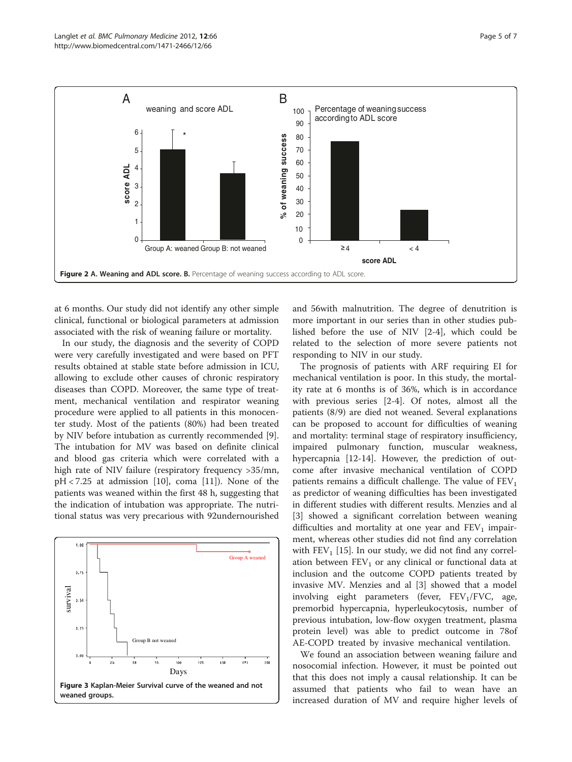<span id="page-4-0"></span>

at 6 months. Our study did not identify any other simple clinical, functional or biological parameters at admission associated with the risk of weaning failure or mortality.

In our study, the diagnosis and the severity of COPD were very carefully investigated and were based on PFT results obtained at stable state before admission in ICU, allowing to exclude other causes of chronic respiratory diseases than COPD. Moreover, the same type of treatment, mechanical ventilation and respirator weaning procedure were applied to all patients in this monocenter study. Most of the patients (80%) had been treated by NIV before intubation as currently recommended [\[9](#page-6-0)]. The intubation for MV was based on definite clinical and blood gas criteria which were correlated with a high rate of NIV failure (respiratory frequency >35/mn,  $pH < 7.25$  at admission [[10\]](#page-6-0), coma [[11](#page-6-0)]). None of the patients was weaned within the first 48 h, suggesting that the indication of intubation was appropriate. The nutritional status was very precarious with 92undernourished



and 56with malnutrition. The degree of denutrition is more important in our series than in other studies published before the use of NIV [\[2](#page-5-0)-[4\]](#page-5-0), which could be related to the selection of more severe patients not responding to NIV in our study.

The prognosis of patients with ARF requiring EI for mechanical ventilation is poor. In this study, the mortality rate at 6 months is of 36%, which is in accordance with previous series [[2-4](#page-5-0)]. Of notes, almost all the patients (8/9) are died not weaned. Several explanations can be proposed to account for difficulties of weaning and mortality: terminal stage of respiratory insufficiency, impaired pulmonary function, muscular weakness, hypercapnia [\[12](#page-6-0)-[14](#page-6-0)]. However, the prediction of outcome after invasive mechanical ventilation of COPD patients remains a difficult challenge. The value of  $FEV<sub>1</sub>$ as predictor of weaning difficulties has been investigated in different studies with different results. Menzies and al [[3\]](#page-5-0) showed a significant correlation between weaning difficulties and mortality at one year and  $FEV<sub>1</sub>$  impairment, whereas other studies did not find any correlation with  $FEV<sub>1</sub>$  [\[15\]](#page-6-0). In our study, we did not find any correlation between  $FEV_1$  or any clinical or functional data at inclusion and the outcome COPD patients treated by invasive MV. Menzies and al [\[3](#page-5-0)] showed that a model involving eight parameters (fever,  $FEV<sub>1</sub>/FVC$ , age, premorbid hypercapnia, hyperleukocytosis, number of previous intubation, low-flow oxygen treatment, plasma protein level) was able to predict outcome in 78of AE-COPD treated by invasive mechanical ventilation.

We found an association between weaning failure and nosocomial infection. However, it must be pointed out that this does not imply a causal relationship. It can be assumed that patients who fail to wean have an increased duration of MV and require higher levels of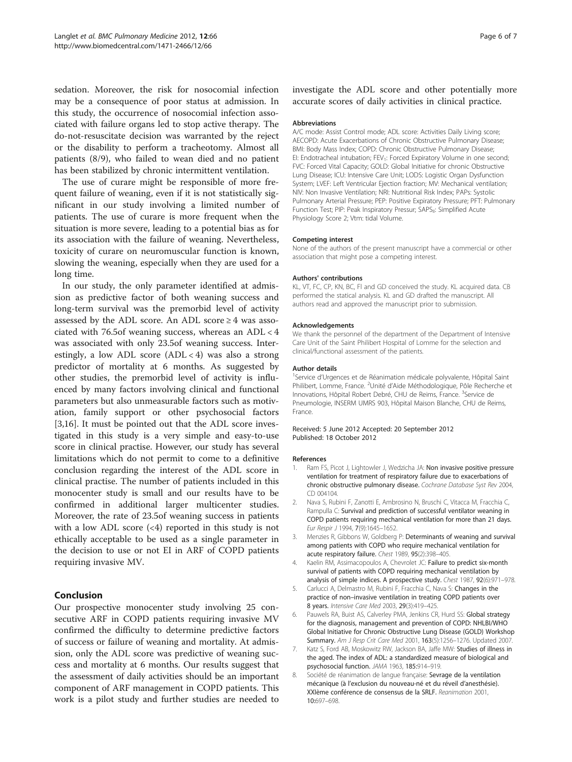<span id="page-5-0"></span>sedation. Moreover, the risk for nosocomial infection may be a consequence of poor status at admission. In this study, the occurrence of nosocomial infection associated with failure organs led to stop active therapy. The do-not-resuscitate decision was warranted by the reject or the disability to perform a tracheotomy. Almost all patients (8/9), who failed to wean died and no patient has been stabilized by chronic intermittent ventilation.

The use of curare might be responsible of more frequent failure of weaning, even if it is not statistically significant in our study involving a limited number of patients. The use of curare is more frequent when the situation is more severe, leading to a potential bias as for its association with the failure of weaning. Nevertheless, toxicity of curare on neuromuscular function is known, slowing the weaning, especially when they are used for a long time.

In our study, the only parameter identified at admission as predictive factor of both weaning success and long-term survival was the premorbid level of activity assessed by the ADL score. An ADL score  $\geq 4$  was associated with 76.5of weaning success, whereas an  $ADL < 4$ was associated with only 23.5of weaning success. Interestingly, a low ADL score  $(ADL < 4)$  was also a strong predictor of mortality at 6 months. As suggested by other studies, the premorbid level of activity is influenced by many factors involving clinical and functional parameters but also unmeasurable factors such as motivation, family support or other psychosocial factors [3,[16\]](#page-6-0). It must be pointed out that the ADL score investigated in this study is a very simple and easy-to-use score in clinical practise. However, our study has several limitations which do not permit to come to a definitive conclusion regarding the interest of the ADL score in clinical practise. The number of patients included in this monocenter study is small and our results have to be confirmed in additional larger multicenter studies. Moreover, the rate of 23.5of weaning success in patients with a low ADL score  $(\leq 4)$  reported in this study is not ethically acceptable to be used as a single parameter in the decision to use or not EI in ARF of COPD patients requiring invasive MV.

# Conclusion

Our prospective monocenter study involving 25 consecutive ARF in COPD patients requiring invasive MV confirmed the difficulty to determine predictive factors of success or failure of weaning and mortality. At admission, only the ADL score was predictive of weaning success and mortality at 6 months. Our results suggest that the assessment of daily activities should be an important component of ARF management in COPD patients. This work is a pilot study and further studies are needed to investigate the ADL score and other potentially more accurate scores of daily activities in clinical practice.

#### Abbreviations

A/C mode: Assist Control mode; ADL score: Activities Daily Living score; AECOPD: Acute Exacerbations of Chronic Obstructive Pulmonary Disease; BMI: Body Mass Index; COPD: Chronic Obstructive Pulmonary Disease; EI: Endotracheal intubation: FEV<sub>1</sub>: Forced Expiratory Volume in one second: FVC: Forced Vital Capacity; GOLD: Global Initiative for chronic Obstructive Lung Disease; ICU: Intensive Care Unit; LODS: Logistic Organ Dysfunction System; LVEF: Left Ventricular Ejection fraction; MV: Mechanical ventilation; NIV: Non Invasive Ventilation; NRI: Nutritional Risk Index; PAPs: Systolic Pulmonary Arterial Pressure; PEP: Positive Expiratory Pressure; PFT: Pulmonary Function Test; PIP: Peak Inspiratory Pressur; SAPS<sub>II</sub>: Simplified Acute Physiology Score 2; Vtm: tidal Volume.

#### Competing interest

None of the authors of the present manuscript have a commercial or other association that might pose a competing interest.

#### Authors' contributions

KL, VT, FC, CP, KN, BC, Fl and GD conceived the study. KL acquired data. CB performed the statical analysis. KL and GD drafted the manuscript. All authors read and approved the manuscript prior to submission.

#### Acknowledgements

We thank the personnel of the department of the Department of Intensive Care Unit of the Saint Philibert Hospital of Lomme for the selection and clinical/functional assessment of the patients.

#### Author details

<sup>1</sup>Service d'Urgences et de Réanimation médicale polyvalente, Hôpital Saint Philibert, Lomme, France. <sup>2</sup>Unité d'Aide Méthodologique, Pôle Recherche et Innovations, Hôpital Robert Debré, CHU de Reims, France. <sup>3</sup>Service de Pneumologie, INSERM UMRS 903, Hôpital Maison Blanche, CHU de Reims, France.

#### Received: 5 June 2012 Accepted: 20 September 2012 Published: 18 October 2012

#### References

- 1. Ram FS, Picot J, Lightowler J, Wedzicha JA: Non invasive positive pressure ventilation for treatment of respiratory failure due to exacerbations of chronic obstructive pulmonary disease. Cochrane Database Syst Rev 2004, CD 004104.
- 2. Nava S, Rubini F, Zanotti E, Ambrosino N, Bruschi C, Vitacca M, Fracchia C, Rampulla C: Survival and prediction of successful ventilator weaning in COPD patients requiring mechanical ventilation for more than 21 days. Eur Respir J 1994, 7(9):1645–1652.
- 3. Menzies R, Gibbons W, Goldberg P: Determinants of weaning and survival among patients with COPD who require mechanical ventilation for acute respiratory failure. Chest 1989, 95(2):398–405.
- Kaelin RM, Assimacopoulos A, Chevrolet JC: Failure to predict six-month survival of patients with COPD requiring mechanical ventilation by analysis of simple indices. A prospective study. Chest 1987, 92(6):971–978.
- Carlucci A, Delmastro M, Rubini F, Fracchia C, Nava S: Changes in the practice of non–invasive ventilation in treating COPD patients over 8 years. Intensive Care Med 2003, 29(3):419–425.
- 6. Pauwels RA, Buist AS, Calverley PMA, Jenkins CR, Hurd SS: Global strategy for the diagnosis, management and prevention of COPD: NHLBI/WHO Global Initiative for Chronic Obstructive Lung Disease (GOLD) Workshop Summary. Am J Resp Crit Care Med 2001, 163(5):1256–1276. Updated 2007.
- Katz S, Ford AB, Moskowitz RW, Jackson BA, Jaffe MW: Studies of illness in the aged. The index of ADL: a standardized measure of biological and psychosocial function. JAMA 1963, 185:914–919.
- 8. Société de réanimation de langue française: Sevrage de la ventilation mécanique (à l'exclusion du nouveau-né et du réveil d'anesthésie). XXIème conférence de consensus de la SRLF. Reanimation 2001, 10:697–698.